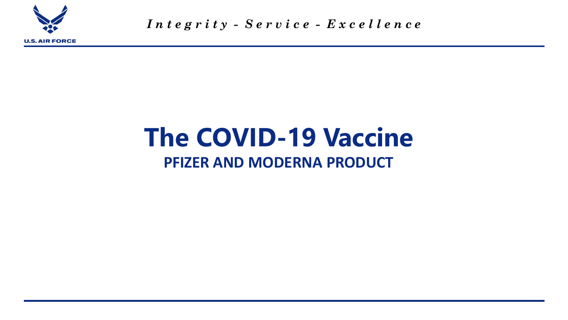

*I n t e g r i t y - S e r v i c e - E x c e l l e n c e*

## **The COVID-19 Vaccine PFIZER AND MODERNA PRODUCT**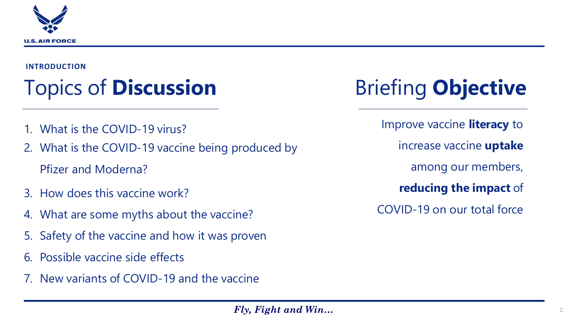

#### **INTRODUCTION**

## Topics of **Discussion**

- What is the COVID-19 virus?
- 2. What is the COVID-19 vaccine being produced by Pfizer and Moderna?
- 3. How does this vaccine work?
- 4. What are some myths about the vaccine?
- 5. Safety of the vaccine and how it was proven
- 6. Possible vaccine side effects
- 7. New variants of COVID-19 and the vaccine

# Briefing **Objective**

Improve vaccine **literacy** to increase vaccine **uptake**  among our members, **reducing the impact** of COVID-19 on our total force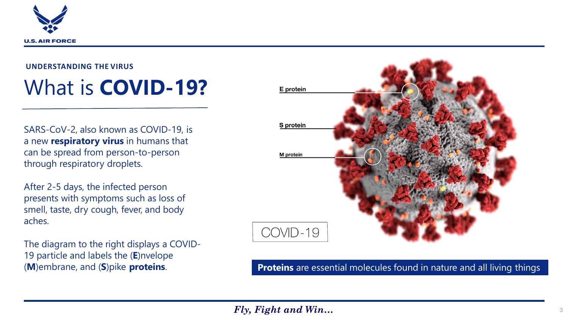

#### **UNDERSTANDING THE VIRUS**

## What is **COVID-19?**

SARS-CoV-2, also known as COVID-19, is a new **respiratory virus** in humans that can be spread from person-to-person through respiratory droplets.

After 2-5 days, the infected person presents with symptoms such as loss of smell, taste, dry cough, fever, and body aches.

The diagram to the right displays a COVID-19 particle and labels the (**E**)nvelope



### (**M**)embrane, and (**S**)pike **proteins**. **Proteins** are essential molecules found in nature and all living things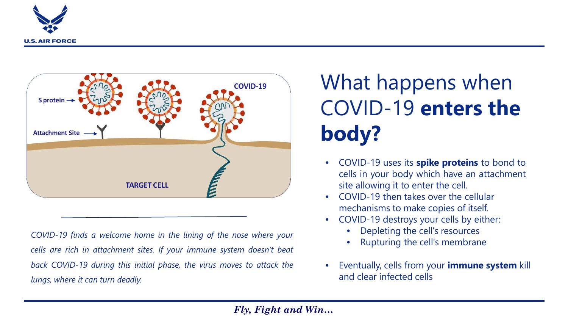



*COVID-19 finds a welcome home in the lining of the nose where your cells are rich in attachment sites. If your immune system doesn't beat back COVID-19 during this initial phase, the virus moves to attack the lungs, where it can turn deadly.*

## What happens when COVID-19 **enters the body?**

- COVID-19 uses its **spike proteins** to bond to cells in your body which have an attachment site allowing it to enter the cell.
- COVID-19 then takes over the cellular mechanisms to make copies of itself.
- COVID-19 destroys your cells by either:
	- Depleting the cell's resources
	- Rupturing the cell's membrane
- Eventually, cells from your **immune system** kill and clear infected cells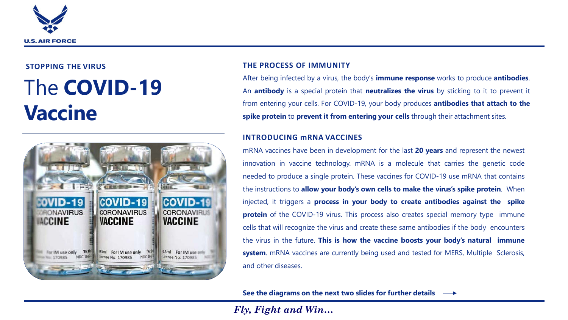

### **STOPPING THE VIRUS** The **COVID-19 Vaccine**



#### **THE PROCESS OF IMMUNITY**

After being infected by a virus, the body's **immune response** works to produce **antibodies**. An **antibody** is a special protein that **neutralizes the virus** by sticking to it to prevent it from entering your cells. For COVID-19, your body produces **antibodies that attach to the spike protein** to **prevent it from entering your cells** through their attachment sites.

#### **INTRODUCING mRNA VACCINES**

mRNA vaccines have been in development for the last **20 years** and represent the newest innovation in vaccine technology. mRNA is a molecule that carries the genetic code needed to produce a single protein. These vaccines for COVID-19 use mRNA that contains the instructions to **allow your body's own cells to make the virus's spike protein**. When injected, it triggers a **process in your body to create antibodies against the spike protein** of the COVID-19 virus. This process also creates special memory type immune cells that will recognize the virus and create these same antibodies if the body encounters the virus in the future. **This is how the vaccine boosts your body's natural immune system**. mRNA vaccines are currently being used and tested for MERS, Multiple Sclerosis, and other diseases.

**See the diagrams on the next two slides for further details**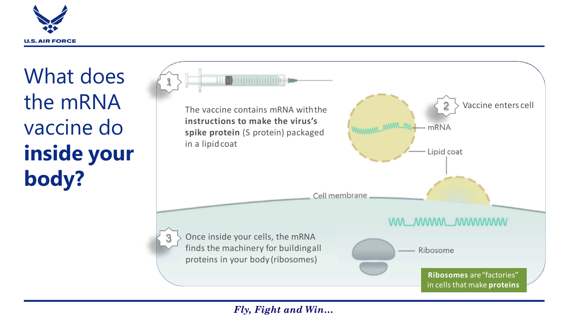

What does the mRNA vaccine do **inside your body?**

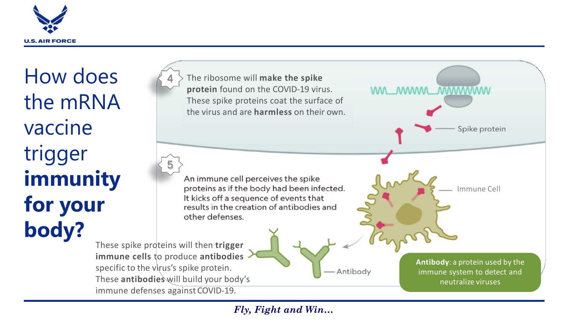

How does the mRNA vaccine trigger **immunity for your body?**

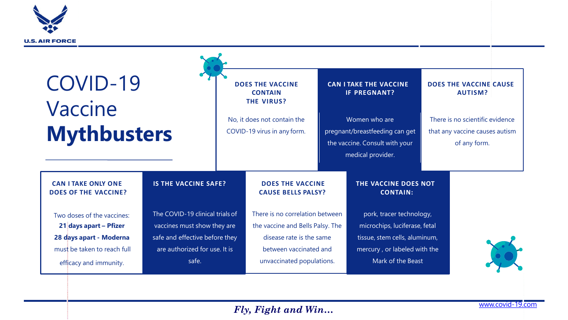

| COVID-19<br>Vaccine<br><b>Mythbusters</b>                                                                                                |                                                                                                                                            | <b>DOES THE VACCINE</b><br><b>CONTAIN</b><br><b>THE VIRUS?</b><br>No, it does not contain the<br>COVID-19 virus in any form. |                                                                                                                                                        | <b>CAN I TAKE THE VACCINE</b><br><b>IF PREGNANT?</b><br>Women who are<br>pregnant/breastfeeding can get<br>the vaccine. Consult with your<br>medical provider. |                                                                                                                                                 | <b>DOES THE VACCINE CAUSE</b><br><b>AUTISM?</b><br>There is no scientific evidence<br>that any vaccine causes autism<br>of any form. |  |
|------------------------------------------------------------------------------------------------------------------------------------------|--------------------------------------------------------------------------------------------------------------------------------------------|------------------------------------------------------------------------------------------------------------------------------|--------------------------------------------------------------------------------------------------------------------------------------------------------|----------------------------------------------------------------------------------------------------------------------------------------------------------------|-------------------------------------------------------------------------------------------------------------------------------------------------|--------------------------------------------------------------------------------------------------------------------------------------|--|
| <b>CAN I TAKE ONLY ONE</b><br><b>DOES OF THE VACCINE?</b>                                                                                |                                                                                                                                            | <b>IS THE VACCINE SAFE?</b>                                                                                                  |                                                                                                                                                        | <b>DOES THE VACCINE</b><br><b>CAUSE BELLS PALSY?</b>                                                                                                           |                                                                                                                                                 | THE VACCINE DOES NOT                                                                                                                 |  |
| Two doses of the vaccines:<br>21 days apart - Pfizer<br>28 days apart - Moderna<br>must be taken to reach full<br>efficacy and immunity. | The COVID-19 clinical trials of<br>vaccines must show they are<br>safe and effective before they<br>are authorized for use. It is<br>safe. |                                                                                                                              | There is no correlation between<br>the vaccine and Bells Palsy. The<br>disease rate is the same<br>between vaccinated and<br>unvaccinated populations. |                                                                                                                                                                | pork, tracer technology,<br>microchips, luciferase, fetal<br>tissue, stem cells, aluminum,<br>mercury, or labeled with the<br>Mark of the Beast |                                                                                                                                      |  |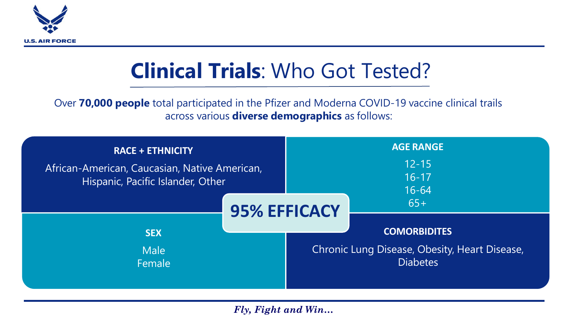

## **Clinical Trials**: Who Got Tested?

Over **70,000 people** total participated in the Pfizer and Moderna COVID-19 vaccine clinical trails across various **diverse demographics** as follows:

| <b>RACE + ETHNICITY</b><br>African-American, Caucasian, Native American,<br>Hispanic, Pacific Islander, Other |                     | <b>AGE RANGE</b><br>$12 - 15$<br>$16 - 17$<br>$16 - 64$ |                                                                  |  |
|---------------------------------------------------------------------------------------------------------------|---------------------|---------------------------------------------------------|------------------------------------------------------------------|--|
|                                                                                                               | <b>95% EFFICACY</b> |                                                         | $65+$<br><b>COMORBIDITES</b>                                     |  |
| <b>SEX</b><br><b>Male</b><br>Female                                                                           |                     |                                                         | Chronic Lung Disease, Obesity, Heart Disease,<br><b>Diabetes</b> |  |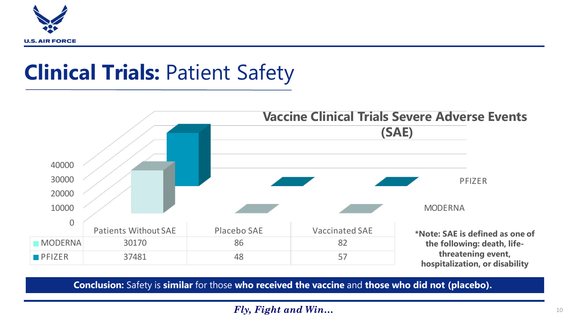

## **Clinical Trials:** Patient Safety



**Conclusion:** Safety is **similar** for those **who received the vaccine** and **those who did not (placebo).**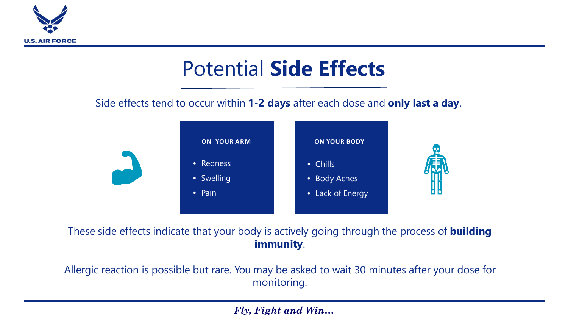

## Potential **Side Effects**

Side effects tend to occur within **1-2 days** after each dose and **only last a day**.



These side effects indicate that your body is actively going through the process of **building immunity**.

Allergic reaction is possible but rare. You may be asked to wait 30 minutes after your dose for monitoring.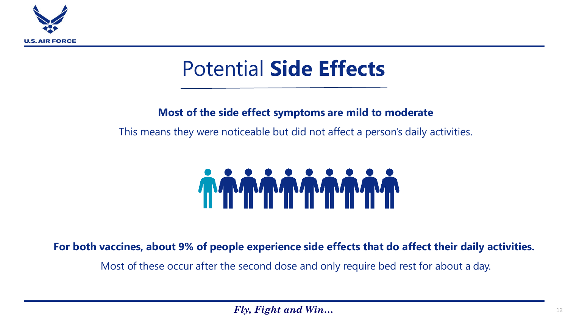

## Potential **Side Effects**

### **Most of the side effect symptoms are mild to moderate**

This means they were noticeable but did not affect a person's daily activities.



**For both vaccines, about 9% of people experience side effects that do affect their daily activities.**

Most of these occur after the second dose and only require bed rest for about a day.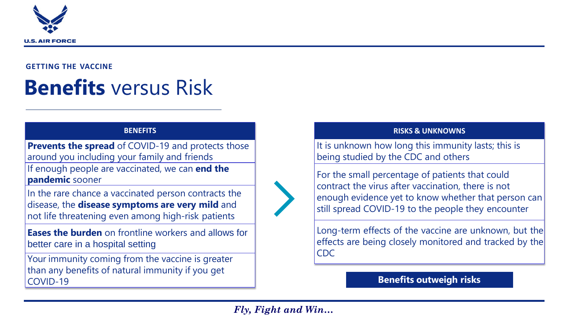

#### **GETTING THE VACCINE**

## **Benefits** versus Risk

#### **BENEFITS**

**Prevents the spread** of COVID-19 and protects those around you including your family and friends If enough people are vaccinated, we can **end the pandemic** sooner

In the rare chance a vaccinated person contracts the disease, the **disease symptoms are very mild** and not life threatening even among high-risk patients

**Eases the burden** on frontline workers and allows for better care in a hospital setting

Your immunity coming from the vaccine is greater than any benefits of natural immunity if you get COVID-19

### **RISKS & UNKNOWNS**

It is unknown how long this immunity lasts; this is being studied by the CDC and others

For the small percentage of patients that could contract the virus after vaccination, there is not enough evidence yet to know whether that person can still spread COVID-19 to the people they encounter

Long-term effects of the vaccine are unknown, but the effects are being closely monitored and tracked by the CDC

### **Benefits outweigh risks**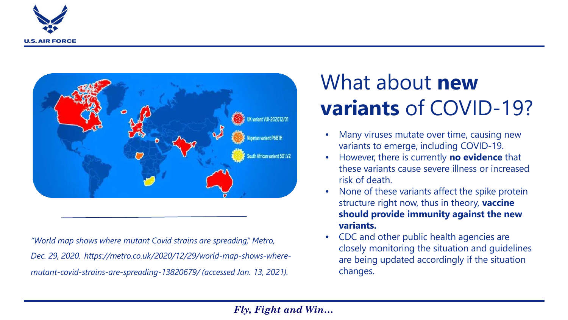



*"World map shows where mutant Covid strains are spreading," Metro, Dec. 29, 2020. https://metro.co.uk/2020/12/29/world-map-shows-wheremutant-covid-strains-are-spreading-13820679/ (accessed Jan. 13, 2021).*

## What about **new variants** of COVID-19?

- Many viruses mutate over time, causing new variants to emerge, including COVID-19.
- However, there is currently **no evidence** that these variants cause severe illness or increased risk of death.
- None of these variants affect the spike protein structure right now, thus in theory, **vaccine should provide immunity against the new variants.**
- CDC and other public health agencies are closely monitoring the situation and guidelines are being updated accordingly if the situation changes.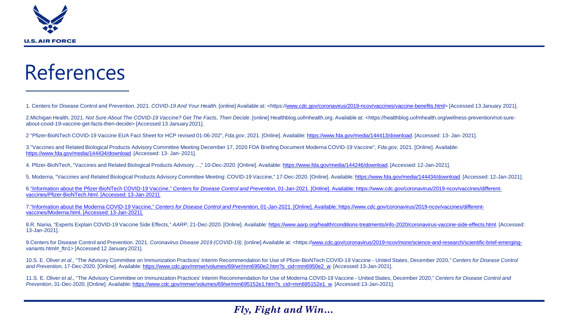

### References

1. Centers for Disease Control and Prevention. 2021. *COVID-19 And Your Health*. [online] Available at: <https://[www.cdc.gov/coronavirus/2019-ncov/vaccines/vaccine-benefits.html>](http://www.cdc.gov/coronavirus/2019-ncov/vaccines/vaccine-benefits.html) [Accessed 13 January 2021].

2.Michigan Health, 2021. *Not Sure About The COVID-19 Vaccine? Get The Facts, Then Decide*. [online] Healthblog.uofmhealth.org. Available at: <https://healthblog.uofmhealth.org/wellness-prevention/not-sureabout-covid-19-vaccine-get-facts-then-decide> [Accessed 13 January 2021].

2 "Pfizer-BioNTech COVID-19 Vaccine EUA Fact Sheet for HCP revised 01-06-202", *Fda.gov*, 2021. [Online]. Available:<https://www.fda.gov/media/144413/download>. [Accessed: 13- Jan-2021].

3."Vaccines and Related Biological Products Advisory Committee Meeting December 17, 2020 FDA Briefing Document Moderna COVID-19 Vaccine", *Fda.gov*, 2021. [Online]. Available: <https://www.fda.gov/media/144434/download>. [Accessed: 13- Jan- 2021].

4. Pfizer-BioNTech, "Vaccines and Related Biological Products Advisory ...," 10-Dec-2020. [Online]. Available: [https://www.fda.gov/media/144246/download](https://www.fda.gov/media/144245/download). [Accessed: 12-Jan-2021].

5. Moderna, "Vaccines and Related Biological Products Advisory Committee Meeting: COVID-19 Vaccine," 17-Dec-2020. [Online]. Available: [https://www.fda.gov/media/144434/download.](https://www.fda.gov/media/144434/download) [Accessed: 12-Jan-2021].

6."Information about the Pfizer-BioNTech COVID-19 Vaccine," *Centers for Disease Control and Prevention*[, 01-Jan-2021. \[Online\]. Available: https://www.cdc.gov/coronavirus/2019-ncov/vaccines/different](https://www.cdc.gov/coronavirus/2019-ncov/vaccines/different-vaccines/Pfizer-BioNTech.html)vaccines/Pfizer-BioNTech.html. [Accessed: 13-Jan-2021].

7."Information about the Moderna COVID-19 Vaccine," *Centers for Disease Control and Prevention*[, 01-Jan-2021. \[Online\]. Available: https://www.cdc.gov/coronavirus/2019-ncov/vaccines/different](https://www.cdc.gov/coronavirus/2019-ncov/vaccines/different-vaccines/Moderna.html)vaccines/Moderna.html. [Accessed: 13-Jan-2021].

8.R. Nania, "Experts Explain COVID-19 Vaccine Side Effects," *AARP*, 21-Dec-2020. [Online]. Available:<https://www.aarp.org/health/conditions-treatments/info-2020/coronavirus-vaccine-side-effects.html>. [Accessed: 13-Jan-2021].

9.Centers for Disease Control and Prevention. 2021. *Coronavirus Disease 2019 (COVID-19)*. [online] Available at: <https:/[/www.cdc.gov/coronavirus/2019-ncov/more/science-and-research/scientific-brief-emerging](http://www.cdc.gov/coronavirus/2019-ncov/more/science-and-research/scientific-brief-emerging-)variants.html# ftn1> [Accessed 12 January 2021].

10.S. E. Oliver *et al.*, "The Advisory Committee on Immunization Practices' Interim Recommendation for Use of Pfizer-BioNTech COVID-19 Vaccine - United States, December 2020," *Centers for Disease Control and Prevention*, 17-Dec-2020. [Online]. Available: [https://www.cdc.gov/mmwr/volumes/69/wr/mm6950e2.htm?s\\_cid=mm6950e2\\_w.](https://www.cdc.gov/mmwr/volumes/69/wr/mm6950e2.htm?s_cid=mm6950e2_w) [Accessed:13-Jan-2021].

11.S. E. Oliver *et al*., "The Advisory Committee on Immunization Practices' Interim Recommendation for Use of Moderna COVID-19 Vaccine - United States, December 2020," *Centers for Disease Control and Prevention*, 31-Dec-2020. [Online]. Available: [https://www.cdc.gov/mmwr/volumes/69/wr/mm695152e1.htm?s\\_cid=mm695152e1\\_w.](https://www.cdc.gov/mmwr/volumes/69/wr/mm695152e1.htm?s_cid=mm695152e1_w) [Accessed:13-Jan-2021].